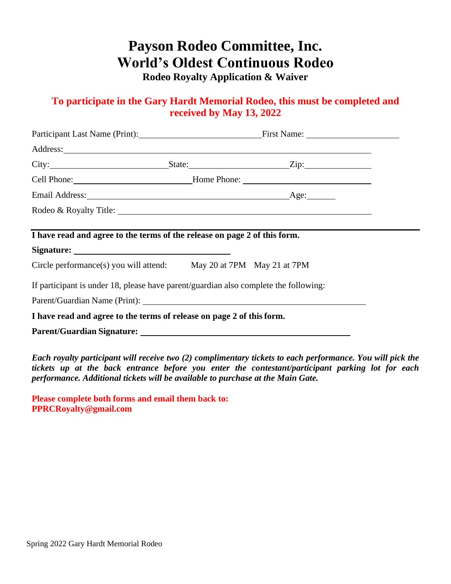# **Payson Rodeo Committee, Inc. World's Oldest Continuous Rodeo**

**Rodeo Royalty Application & Waiver**

## **To participate in the Gary Hardt Memorial Rodeo, this must be completed and received by May 13, 2022**

| Participant Last Name (Print): First Name: First Name:                                                                                                                                                                              |  |  |
|-------------------------------------------------------------------------------------------------------------------------------------------------------------------------------------------------------------------------------------|--|--|
|                                                                                                                                                                                                                                     |  |  |
| City: <u>City: City:</u> City: City: City: City: City: City: City: City: City: City: City: City: City: City: City: City: City: City: City: City: City: City: City: City: City: City: City: City: City: City: City: City: City: City |  |  |
| Cell Phone: Mome Phone: Mome Phone:                                                                                                                                                                                                 |  |  |
|                                                                                                                                                                                                                                     |  |  |
| Rodeo & Royalty Title:                                                                                                                                                                                                              |  |  |
|                                                                                                                                                                                                                                     |  |  |
| I have read and agree to the terms of the release on page 2 of this form.                                                                                                                                                           |  |  |
|                                                                                                                                                                                                                                     |  |  |
| Circle performance(s) you will attend: May 20 at 7PM May 21 at 7PM                                                                                                                                                                  |  |  |
| If participant is under 18, please have parent/guardian also complete the following:                                                                                                                                                |  |  |
|                                                                                                                                                                                                                                     |  |  |
| I have read and agree to the terms of release on page 2 of this form.                                                                                                                                                               |  |  |
|                                                                                                                                                                                                                                     |  |  |
|                                                                                                                                                                                                                                     |  |  |

*Each royalty participant will receive two (2) complimentary tickets to each performance. You will pick the tickets up at the back entrance before you enter the contestant/participant parking lot for each performance. Additional tickets will be available to purchase at the Main Gate.*

**Please complete both forms and email them back to: PPRCRoyalty@gmail.com**